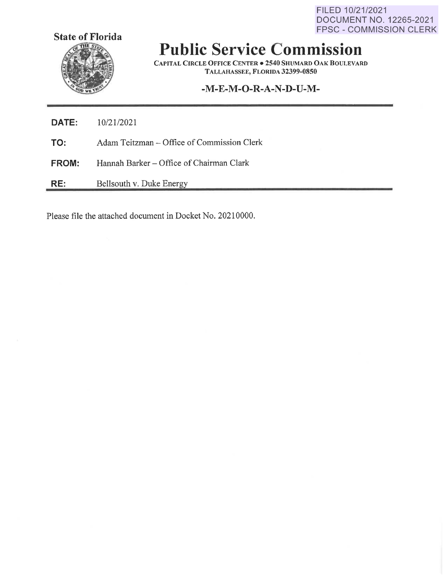FILED 10/21/2021 DOCUMENT NO. 12265-2021 FPSC - COMMISSION CLERK



# **Public Service Commission**

**CAPITAL CIRCLE OFFICE CENTER** • **2540 SHUMARD OAK BOULEVARD TALLAHASSEE, F LORIDA 32399-0850** 

## **-M-E-M-O-R-A-N-D-U-M-**

| <b>DATE:</b> | 10/21/2021                                 |
|--------------|--------------------------------------------|
| TO:          | Adam Teitzman – Office of Commission Clerk |
| <b>FROM:</b> | Hannah Barker – Office of Chairman Clark   |
| RE:          | Bellsouth v. Duke Energy                   |

Please file the attached document in Docket No. 20210000.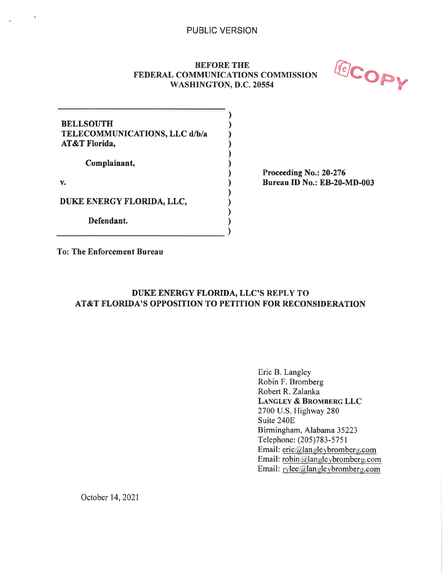## **BEFORE THE FEDERAL COMMUNICATIONS COMMISSION<br>WASHINGTON, D.C. 20554**



| <b>BELLSOUTH</b><br>TELECOMMUNICATIONS, LLC d/b/a<br>AT&T Florida, |  |
|--------------------------------------------------------------------|--|
| Complainant,                                                       |  |
|                                                                    |  |
| DUKE ENERGY FLORIDA, LLC,                                          |  |
| Defendant.                                                         |  |

**Proceeding No.: 20-276 Bureau ID No.: EB-20-MD-003** 

**To: The Enforcement Bureau** 

## **DUKE ENERGY FLORIDA, LLC'S REPLY TO AT&T FLORIDA'S OPPOSITION TO PETITION FOR RECONSIDERATION**

Eric B. Langley Robin F. Bromberg Robert R. Zalanka **LANGLEY** & **BROMBERG LLC**  2700 U.S. Highway 280 Suite 240E Birmingham, Alabama 35223 Telephone: (205)783-5751 Email: eric@langleybromberg.com Email: robin@langleybromberg.com Email: rylee@langleybromberg.com

October 14, 2021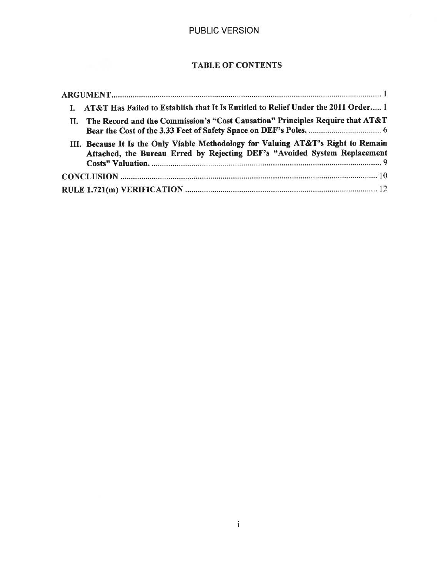## TABLE OF CONTENTS

| I. AT&T Has Failed to Establish that It Is Entitled to Relief Under the 2011 Order 1                                                                           |
|----------------------------------------------------------------------------------------------------------------------------------------------------------------|
| II. The Record and the Commission's "Cost Causation" Principles Require that AT&T                                                                              |
| III. Because It Is the Only Viable Methodology for Valuing AT&T's Right to Remain<br>Attached, the Bureau Erred by Rejecting DEF's "Avoided System Replacement |
|                                                                                                                                                                |
|                                                                                                                                                                |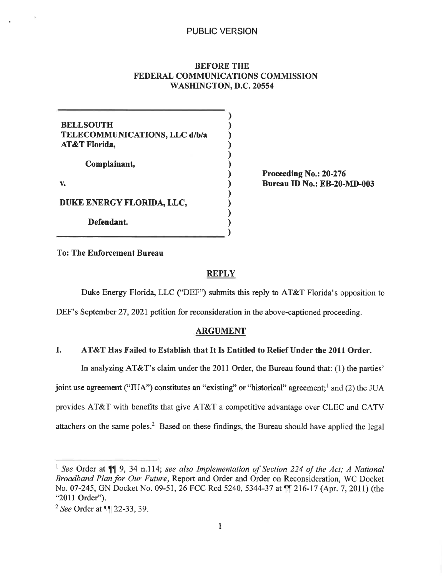## **BEFORE THE FEDERAL COMMUNICATIONS COMMISSION WASHING TON, D.C. 20554**

| <b>BELLSOUTH</b><br>TELECOMMUNICATIONS, LLC d/b/a<br>AT&T Florida, |  |
|--------------------------------------------------------------------|--|
| Complainant,                                                       |  |
|                                                                    |  |
| DUKE ENERGY FLORIDA, LLC,                                          |  |
| Defendant.                                                         |  |

**Proceeding No.: 20-276 Bureau ID No.: EB-20-MD-003** 

To: **The Enforcement Bureau** 

## **REPLY**

Duke Energy Florida, LLC ("DEF") submits this reply to AT&T Florida's opposition to

DEF's September 27, 2021 petition for reconsideration in the above-captioned proceeding.

#### **ARGUMENT**

## I. **AT&T Has Failed to Establish that** It **Is Entitled to Relief Under the 2011 Order.**

In analyzing AT&T's claim under the 2011 Order, the Bureau found that: (1) the parties' joint use agreement ("JUA") constitutes an "existing" or "historical" agreement;<sup>1</sup> and (2) the JUA provides AT&T with benefits that give AT&T a competitive advantage over CLEC and CATV attachers on the same poles.<sup>2</sup> Based on these findings, the Bureau should have applied the legal

<sup>&</sup>lt;sup>1</sup> See Order at  $\P$ , 9, 34 n.114; *see also Implementation of Section 224 of the Act; A National Broadband Plan for Our Future,* Report and Order and Order on Reconsideration, WC Docket No. 07-245, GN Docket No. 09-51, 26 FCC Rcd 5240, 5344-37 at  $\sqrt{\ }$  216-17 (Apr. 7, 2011) (the "2011 Order").

<sup>&</sup>lt;sup>2</sup> See Order at ¶ 22-33, 39.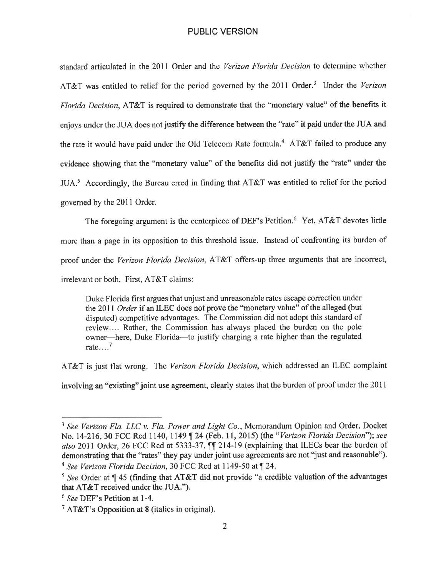standard articulated in the 2011 Order and the *Verizon Florida Decision* to determine whether AT&T was entitled to relief for the period governed by the 2011 Order.<sup>3</sup> Under the *Verizon Florida Decision,* AT&T is required to demonstrate that the "monetary value" of the benefits it enjoys under the JUA does not justify the difference between the "rate" it paid under the JUA and the rate it would have paid under the Old Telecom Rate formula.<sup>4</sup> AT&T failed to produce any evidence showing that the "monetary value" of the benefits did not justify the "rate" under the JUA.<sup>5</sup> Accordingly, the Bureau erred in finding that AT&T was entitled to relief for the period governed by the 2011 Order.

The foregoing argument is the centerpiece of DEF's Petition.<sup>6</sup> Yet. AT&T devotes little more than a page in its opposition to this threshold issue. Instead of confronting its burden of proof under the *Verizon Florida Decision,* AT&T offers-up three arguments that are incorrect, irrelevant or both. First, AT&T claims:

Duke Florida first argues that unjust and unreasonable rates escape correction under the 2011 *Order* if an ILEC does not prove the "monetary value" of the alleged (but disputed) competitive advantages. The Commission did not adopt this standard of review.... Rather, the Commission has always placed the burden on the pole owner-here, Duke Florida-to justify charging a rate higher than the regulated rate  $\ldots$ <sup>7</sup>

AT&T is just flat wrong. The *Verizon Florida Decision,* which addressed an ILEC complaint

involving an "existing" joint use agreement, clearly states that the burden of proof under the 2011

<sup>3</sup>*See Verizon Fla. LLC v. Fla. Power and Light Co.,* Memorandum Opinion and Order, Docket No. 14-216, 30 FCC Rcd 1140, 1149 | 24 (Feb. 11, 2015) (the "Verizon Florida Decision"); see also 2011 Order, 26 FCC Rcd at 5333-37,  $\int$  214-19 (explaining that ILECs bear the burden of demonstrating that the "rates" they pay under joint use agreements are not "just and reasonable"). <sup>4</sup> See Verizon Florida Decision, 30 FCC Rcd at 1149-50 at ¶ 24.

 $5$  See Order at  $\P$  45 (finding that AT&T did not provide "a credible valuation of the advantages that AT&T received under the JUA.").

<sup>6</sup>*See* DEF's Petition at 1-4.

<sup>&</sup>lt;sup>7</sup> AT&T's Opposition at 8 (italics in original).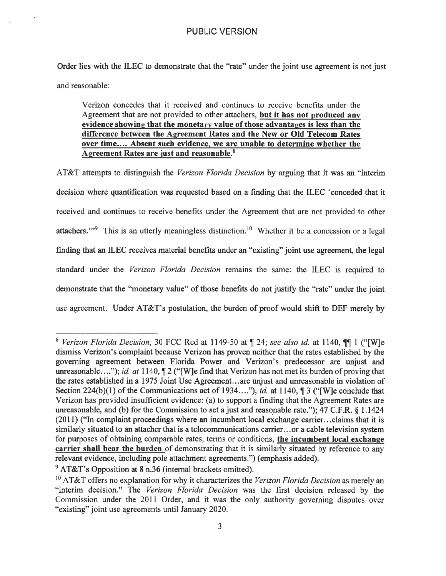Order lies with the ILEC to demonstrate that the "rate" under the joint use agreement is not just and reasonable:

Verizon concedes that it received and continues to receive benefits under the Agreement that are not provided to other attachers, **but it has not produced any evidence showing that the monetary value of those advantages is less than the difference between the Agreement Rates and the New or Old Telecom Rates over time.... Absent such evidence, we are unable to determine whether the Agreement Rates are just and reasonable.** <sup>8</sup>

AT&T attempts to distinguish the *Verizon Florida Decision* by arguing that it was an "interim decision where quantification was requested based on a finding that the ILEC 'conceded that it received and continues to receive benefits under the Agreement that are not provided to other attachers."<sup>9</sup> This is an utterly meaningless distinction.<sup>10</sup> Whether it be a concession or a legal fmding that an ILEC receives material benefits under an "existing" joint use agreement, the legal standard under the *Verizon Florida Decision* remains the same: the ILEC is required to demonstrate that the "monetary value" of those benefits do not justify the "rate" under the joint use agreement. Under AT&T's postulation, the burden of proof would shift to DEF merely by

<sup>&</sup>lt;sup>8</sup> Verizon Florida Decision, 30 FCC Rcd at 1149-50 at  $\P$  24; see also id. at 1140,  $\P$  $\P$  1 ("[W]e dismiss Verizon's complaint because Verizon has proven neither that the rates established by the governing agreement between Florida Power and Verizon's predecessor are unjust and unreasonable...."); *id. at*  $1140$ ,  $\n{\nT2}$  ("[W]e find that Verizon has not met its burden of proving that the rates established in a 1975 Joint Use Agreement... are unjust and unreasonable in violation of Section 224(b)(1) of the Communications act of 1934...."), *id.* at 1140,  $\parallel$  3 ("[W]e conclude that Verizon has provided insufficient evidence: (a) to support a finding that the Agreement Rates are unreasonable, and (b) for the Commission to set a just and reasonable rate."); 47 C.F.R.  $\S$  1.1424 (2011) ("In complaint proceedings where an incumbent local exchange carrier ... claims that it is similarly situated to an attacher that is a telecommunications carrier ... or a cable television system for purposes of obtaining comparable rates, terms or conditions, **the incumbent local exchange carrier shall bear the burden** of demonstrating that it is similarly situated by reference to any relevant evidence, including pole attachment agreements.") (emphasis added).

 $9$  AT&T's Opposition at 8 n.36 (internal brackets omitted).

<sup>10</sup> AT&T offers no explanation for why it characterizes the *Verizon Florida Decision* as merely an "interim decision." The *Verizon Florida Decision* was the first decision released by the Commission under the 2011 Order, and it was the only authority governing disputes over "existing" joint use agreements until January 2020.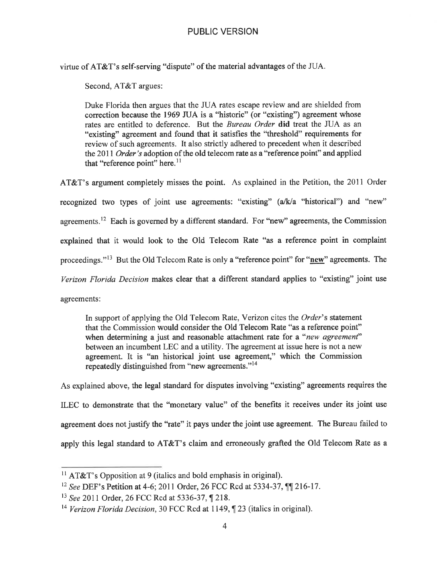virtue of AT&T's self-serving "dispute" of the material advantages of the JUA.

Second, AT&T argues:

Duke Florida then argues that the JUA rates escape review and are shielded from correction because the 1969 JUA is a "historic" (or "existing") agreement whose rates are entitled to deference. But the *Bureau Order* **did** treat the JUA as an "existing" agreement and found that it satisfies the "threshold" requirements for review of such agreements. It also strictly adhered to precedent when it described the 2011 *Order's* adoption of the old telecom rate as a "reference point" and applied that "reference point" here.<sup>11</sup>

AT&T's argument completely misses the point. As explained in the Petition, the 2011 Order recognized two types of joint use agreements: "existing" (a/k/a "historical") and "new" agreements.<sup>12</sup> Each is governed by a different standard. For "new" agreements, the Commission explained that it would look to the Old Telecom Rate "as a reference point in complaint proceedings."<sup>13</sup> But the Old Telecom Rate is only a "reference point" for "new" agreements. The *Verizon Florida Decision* makes clear that a different standard applies to "existing" joint use agreements:

In support of applying the Old Telecom Rate, Verizon cites the *Order's* statement that the Commission would consider the Old Telecom Rate "as a reference point" when determining a just and reasonable attachment rate for a *"new agreement"*  between an incumbent LEC and a utility. The agreement at issue here is not a new agreement. It is "an historical joint use agreement," which the Commission repeatedly distinguished from "new agreements."<sup>14</sup>

As explained above, the legal standard for disputes involving "existing" agreements requires the ILEC to demonstrate that the "monetary value" of the benefits it receives under its joint use agreement does not justify the "rate" it pays under the joint use agreement. The Bureau failed to apply this legal standard to AT&T's claim and erroneously grafted the Old Telecom Rate as a

<sup>&</sup>lt;sup>11</sup> AT&T's Opposition at 9 (italics and bold emphasis in original).

<sup>&</sup>lt;sup>12</sup> See DEF's Petition at 4-6; 2011 Order, 26 FCC Rcd at 5334-37, TJ 216-17.

<sup>13</sup>*See* 2011 Order, 26 FCC Red at 5336-37, **,r** 218.

<sup>&</sup>lt;sup>14</sup> Verizon Florida Decision, 30 FCC Rcd at 1149, ¶ 23 (italics in original).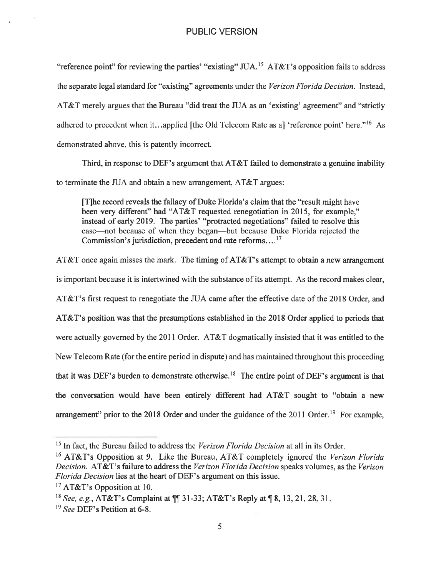"reference point" for reviewing the parties' "existing" JUA.<sup>15</sup> AT&T's opposition fails to address the separate legal standard for "existing" agreements under the *Verizon Florida Decision.* Instead, AT&T merely argues that the Bureau "did treat the JUA as an 'existing' agreement" and "strictly adhered to precedent when it...applied [the Old Telecom Rate as a] 'reference point' here."<sup>16</sup> As demonstrated above, this is patently incorrect.

Third, in response to DEF's argument that AT&T failed to demonstrate a genuine inability to terminate the JUA and obtain a new arrangement, AT&T argues:

[T]he record reveals the fallacy of Duke Florida's claim that the "result might have been very different" had "AT&T requested renegotiation in 2015, for example," instead of early 2019. The parties' "protracted negotiations" failed to resolve this case-not because of when they began-but because Duke Florida rejected the Commission's jurisdiction, precedent and rate reforms....<sup>17</sup>

AT&T once again misses the mark. The timing of AT&T's attempt to obtain a new arrangement is important because it is intertwined with the substance of its attempt. As the record makes clear, AT&T's first request to renegotiate the JUA came after the effective date of the 2018 Order, and AT&T's position was that the presumptions established in the 2018 Order applied to periods that were actually governed by the 2011 Order. AT&T dogmatically insisted that it was entitled to the New Telecom Rate (for the entire period in dispute) and has maintained throughout this proceeding that it was DEF's burden to demonstrate otherwise.<sup>18</sup> The entire point of DEF's argument is that the conversation would have been entirely different had AT&T sought to "obtain a new arrangement" prior to the 2018 Order and under the guidance of the  $2011$  Order.<sup>19</sup> For example,

<sup>15</sup> In fact, the Bureau failed to address the *Verizon Florida Decision* at all in its Order.

<sup>16</sup> AT&T's Opposition at 9. Like the Bureau, AT&T completely ignored the *Verizon Florida Decision.* AT&T' s failure to address the *Verizon Florida Decision* speaks volumes, as the *Verizon Florida Decision* lies at the heart of DEF's argument on this issue.

<sup>&</sup>lt;sup>17</sup> AT&T's Opposition at 10.

<sup>&</sup>lt;sup>18</sup> See, e.g., **AT&T**'s Complaint at  $\P$ [1] 31-33; **AT&T**'s Reply at  $\P$  8, 13, 21, 28, 31.

<sup>19</sup>*See* DEF's Petition at 6-8.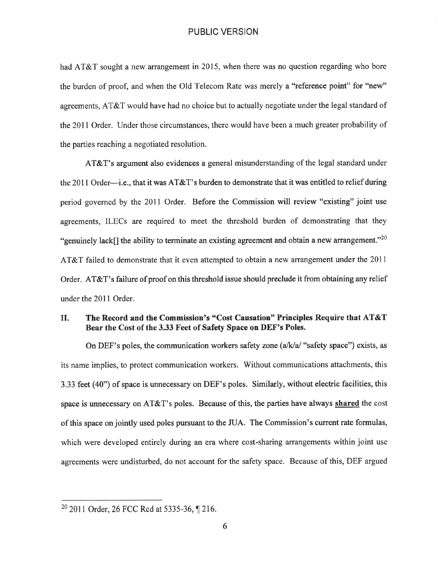had AT&T sought a new arrangement in 2015, when there was no question regarding who bore the burden of proof, and when the Old Telecom Rate was merely a "reference point" for "new" agreements, AT&T would have had no choice but to actually negotiate under the legal standard of the 2011 Order. Under those circumstances, there would have been a much greater probability of the parties reaching a negotiated resolution.

AT&T's argument also evidences a general misunderstanding of the legal standard under the 2011 Order—i.e., that it was  $AT&T$ 's burden to demonstrate that it was entitled to relief during period governed by the 2011 Order. Before the Commission will review "existing" joint use agreements, ILECs are required to meet the threshold burden of demonstrating that they "genuinely lack[] the ability to terminate an existing agreement and obtain a new arrangement."<sup>20</sup> AT&T failed to demonstrate that it even attempted to obtain a new arrangement under the 2011 Order. AT&T's failure of proof on this threshold issue should preclude it from obtaining any relief under the 2011 Order.

## II. **The Record and the Commission's "Cost Causation" Principles Require that AT&T Bear the Cost of the 3.33 Feet of Safety Space on DEF's Poles.**

On DEF's poles, the communication workers safety zone (a/k/a/ "safety space") exists, as its name implies, to protect communication workers. Without communications attachments, this 3.33 feet (40") of space is unnecessary on DEF's poles. Similarly, without electric facilities, this space is unnecessary on AT&T' s poles. Because of this, the parties have always **shared** the cost of this space on jointly used poles pursuant to the JUA. The Commission's current rate formulas, which were developed entirely during an era where cost-sharing arrangements within joint use agreements were undisturbed, do not account for the safety space. Because of this, DEF argued

 $202011$  Order, 26 FCC Rcd at 5335-36, 1216.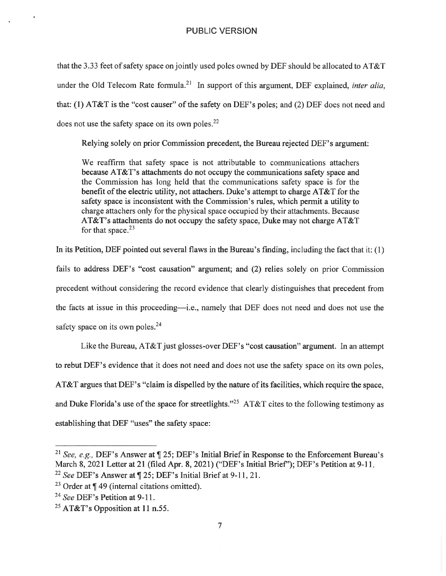that the 3.33 feet of safety space on jointly used poles owned by DEF should be allocated to AT&T under the Old Telecom Rate formula.<sup>21</sup> In support of this argument, DEF explained, *inter alia*, that: (1) AT&T is the "cost causer" of the safety on DEF's poles; and (2) DEF does not need and does not use the safety space on its own poles. $^{22}$ 

Relying solely on prior Commission precedent, the Bureau rejected DEF's argument:

We reaffirm that safety space is not attributable to communications attachers because AT&T's attachments do not occupy the communications safety space and the Commission has long held that the communications safety space is for the benefit of the electric utility, not attachers. Duke's attempt to charge AT&T for the safety space is inconsistent with the Commission's rules, which permit a utility to charge attachers only for the physical space occupied by their attachments. Because AT&T's attachments do not occupy the safety space, Duke may not charge AT&T for that space. $2<sup>3</sup>$ 

In its Petition, DEF pointed out several flaws in the Bureau's finding, including the fact that it: (I) fails to address DEF's "cost causation" argument; and (2) relies solely on prior Commission precedent without considering the record evidence that clearly distinguishes that precedent from the facts at issue in this proceeding—i.e., namely that DEF does not need and does not use the safety space on its own poles.<sup>24</sup>

Like the Bureau, AT&T just glosses-over DEF's "cost causation" argument. In an attempt to rebut DEF's evidence that it does not need and does not use the safety space on its own poles, AT&T argues that DEF's "claim is dispelled by the nature of its facilities, which require the space, and Duke Florida's use of the space for streetlights."<sup>25</sup> AT&T cites to the following testimony as establishing that DEF "uses" the safety space:

<sup>&</sup>lt;sup>21</sup> See, e.g., DEF's Answer at  $\P$  25; DEF's Initial Brief in Response to the Enforcement Bureau's March 8, 2021 Letter at 21 (filed Apr. 8, 2021) ("DEF's Initial Brief"); DEF's Petition at 9-11. <sup>22</sup> See DEF's Answer at ¶ 25; DEF's Initial Brief at 9-11, 21.

<sup>&</sup>lt;sup>23</sup> Order at  $\P$  49 (internal citations omitted).

<sup>&</sup>lt;sup>24</sup> See DEF's Petition at 9-11.

<sup>&</sup>lt;sup>25</sup> AT&T's Opposition at 11 n.55.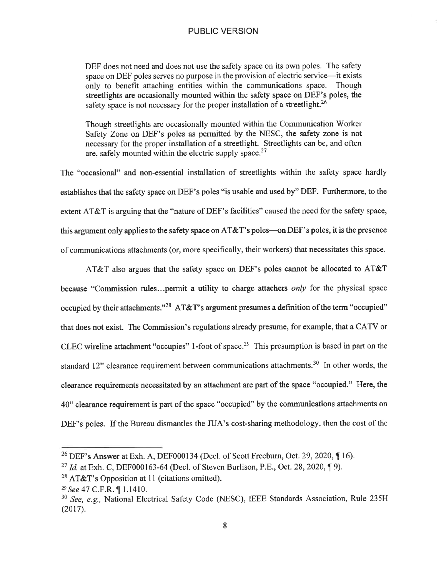DEF does not need and does not use the safety space on its own poles. The safety space on DEF poles serves no purpose in the provision of electric service—it exists only to benefit attaching entities within the communications space. Though streetlights are occasionally mounted within the safety space on DEF's poles, the safety space is not necessary for the proper installation of a streetlight.<sup>26</sup>

Though streetlights are occasionally mounted within the Communication Worker Safety Zone on DEF's poles as permitted by the NESC, the safety zone is not necessary for the proper installation of a streetlight. Streetlights can be, and often are, safely mounted within the electric supply space. $27$ 

The "occasional" and non-essential installation of streetlights within the safety space hardly establishes that the safety space on DEF's poles "is usable and used by" DEF. Furthermore, to the extent AT&T is arguing that the "nature of DEF's facilities" caused the need for the safety space, this argument only applies to the safety space on  $AT&T$ 's poles—on DEF's poles, it is the presence of communications attachments (or, more specifically, their workers) that necessitates this space.

AT&T also argues that the safety space on DEF's poles cannot be allocated to AT&T because "Commission rules ... permit a utility to charge attachers *only* for the physical space occupied by their attachments."<sup>28</sup> AT&T's argument presumes a definition of the term "occupied" that does not exist. The Commission's regulations already presume, for example, that a CATV or CLEC wireline attachment "occupies" 1-foot of space.<sup>29</sup> This presumption is based in part on the standard 12" clearance requirement between communications attachments.<sup>30</sup> In other words, the clearance requirements necessitated by an attachment are part of the space "occupied." Here, the 40" clearance requirement is part of the space "occupied" by the communications attachments on DEF's poles. If the Bureau dismantles the JUA's cost-sharing methodology, then the cost of the

<sup>&</sup>lt;sup>26</sup> DEF's Answer at Exh. A, DEF000134 (Decl. of Scott Freeburn, Oct. 29, 2020,  $\P$ 16).

<sup>&</sup>lt;sup>27</sup> *Id.* at Exh. C, DEF000163-64 (Decl. of Steven Burlison, P.E., Oct. 28, 2020,  $\P$ 9).

 $28$  AT&T's Opposition at 11 (citations omitted).

<sup>&</sup>lt;sup>29</sup> See 47 C.F.R. ¶ 1.1410.

<sup>30</sup>*See, e.g.,* National Electrical Safety Code (NESC), IEEE Standards Association, Rule 235H (2017).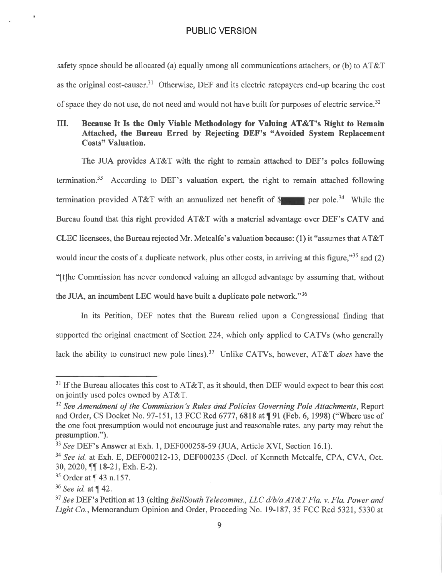safety space should be allocated (a) equally among all communications attachers, or (b) to AT&T as the original cost-causer.<sup>31</sup> Otherwise, DEF and its electric ratepayers end-up bearing the cost of space they do not use, do not need and would not have built-for purposes of electric service.<sup>32</sup>

## III. **Because It Is the Only Viable Methodology for Valuing AT&T's Right to Remain Attached, the Bureau Erred by Rejecting DEF's "Avoided System Replacement Costs" Valuation.**

The JUA provides  $AT&T$  with the right to remain attached to DEF's poles following termination.<sup>33</sup> According to DEF's valuation expert, the right to remain attached following termination provided AT&T with an annualized net benefit of  $\mathcal{S}$  per pole.<sup>34</sup> While the Bureau found that this right provided AT&T with a material advantage over DEF's CATV and CLEC licensees, the Bureau rejected Mr. Metcalfe's valuation because: (1) it "assumes that AT&T would incur the costs of a duplicate network, plus other costs, in arriving at this figure."<sup>35</sup> and  $(2)$ "[t]he Commission has never condoned valuing an alleged advantage by assuming that, without the JUA, an incumbent LEC would have built a duplicate pole network."<sup>36</sup>

In its Petition, DEF notes that the Bureau relied upon a Congressional finding that supported the original enactment of Section 224, which only applied to CATVs (who generally lack the ability to construct new pole lines). 37 Unlike CATVs, however, AT&T *does* have the

 $31$  If the Bureau allocates this cost to AT&T, as it should, then DEF would expect to bear this cost on jointly used poles owned by AT&T.

<sup>&</sup>lt;sup>32</sup> See Amendment of the Commission's Rules and Policies Governing Pole Attachments, Report and Order, CS Docket No. 97-151, 13 FCC Rcd 6777, 6818 at  $\P$  91 (Feb. 6, 1998) ("Where use of the one foot presumption would not encourage just and reasonable rates, any party may rebut the presumption.").

<sup>33</sup>*See* DEF's Answer at Exh. 1, DEF000258-59 (JUA, Article XVI, Section 16.1).

<sup>&</sup>lt;sup>34</sup> See id. at Exh. E, DEF000212-13, DEF000235 (Decl. of Kenneth Metcalfe, CPA, CVA, Oct. 30, 2020,  $\P\P$  18-21, Exh. E-2).

 $35$  Order at  $\P$  43 n.157.

<sup>&</sup>lt;sup>36</sup> See id. at [42.

<sup>37</sup>*See* DEF's Petition at 13 (citing *BellSouth Telecomms., LLC d/b/aAT&T Fla. v. Fla. Power and Light Co.,* Memorandum Opinion and Order, Proceeding No. 19-187, 35 FCC Red 5321, 5330 at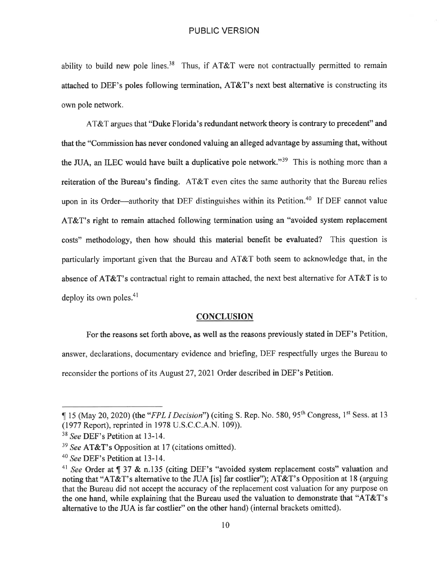ability to build new pole lines.<sup>38</sup> Thus, if AT&T were not contractually permitted to remain attached to DEF's poles following termination, AT&T's next best alternative is constructing its own pole network.

AT&T argues that "Duke Florida's redundant network theory is contrary to precedent" and that the "Commission has never condoned valuing an alleged advantage by assuming that, without the JUA, an ILEC would have built a duplicative pole network."<sup>39</sup> This is nothing more than a reiteration of the Bureau's finding. AT&T even cites the same authority that the Bureau relies upon in its Order—authority that DEF distinguishes within its Petition.<sup>40</sup> If DEF cannot value AT&T's right to remain attached following termination using an "avoided system replacement costs" methodology, then how should this material benefit be evaluated? This question is particularly important given that the Bureau and AT&T both seem to acknowledge that, in the absence of AT&T's contractual right to remain attached, the next best alternative for AT&T is to deploy its own poles.<sup>41</sup>

#### **CONCLUSION**

For the reasons set forth above, as well as the reasons previously stated in DEF's Petition, answer, declarations, documentary evidence and briefing, DEF respectfully urges the Bureau to reconsider the portions of its August 27, 2021 Order described in DEF's Petition.

<sup>15 (</sup>May 20, 2020) (the "*FPL I Decision*") (citing S. Rep. No. 580, 95<sup>th</sup> Congress, 1<sup>st</sup> Sess. at 13 (1977 Report), reprinted in 1978 U.S.C.C.A.N. 109)).

<sup>38</sup>*See* DEF's Petition at 13-14.

<sup>39</sup>*See* AT&T's Opposition at 17 (citations omitted).

<sup>40</sup>*See* DEF's Petition at 13-14.

<sup>&</sup>lt;sup>41</sup> See Order at ¶ 37 & n.135 (citing DEF's "avoided system replacement costs" valuation and noting that "AT&T's alternative to the JUA [is] far costlier"); AT&T's Opposition at 18 (arguing that the Bureau did not accept the accuracy of the replacement cost valuation for any purpose on the one hand, while explaining that the Bureau used the valuation to demonstrate that "AT&T's alternative to the JUA is far costlier" on the other hand) (internal brackets omitted).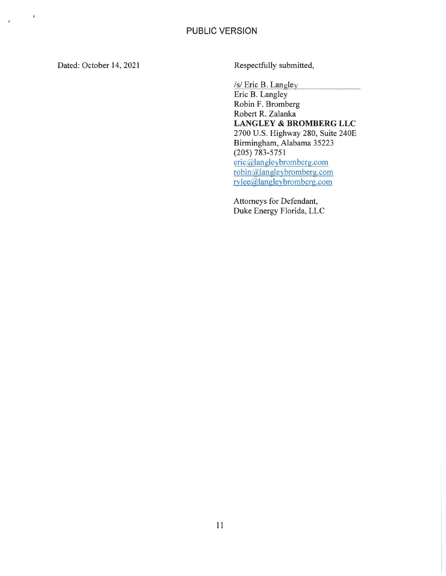Dated: October 14, 2021

 $\pmb{\iota}$ 

 $\bar{p}$ 

Respectfully submitted,

/s/ Eric B. Langley

Eric B. Langley Robin F. Bromberg Robert R. Zalanka **LANGLEY & BROMBERG LLC**  2700 U.S. Highway 280, Suite 240E Birmingham, Alabama 35223 (205) 783-5751 eric@langleybromberg.com robin@ langley bromberg.com rylee@langleybromberg.com

Attorneys for Defendant, Duke Energy Florida, LLC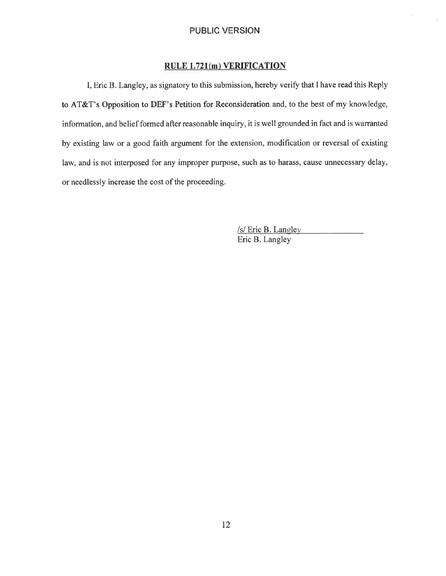## **RULE 1.721{m) VERIFICATION**

I, Eric B. Langley, as signatory to this submission, hereby verify that I have read this Reply to AT&T's Opposition to DEF's Petition for Reconsideration and, to the best of my knowledge, information, and belief formed after reasonable inquiry, it is well grounded in fact and is warranted by existing law or a good faith argument for the extension, modification or reversal of existing law, and is not interposed for any improper purpose, such as to harass, cause unnecessary delay, or needlessly increase the cost of the proceeding.

> *Isl* Eric B. LaneJey Eric B. Langley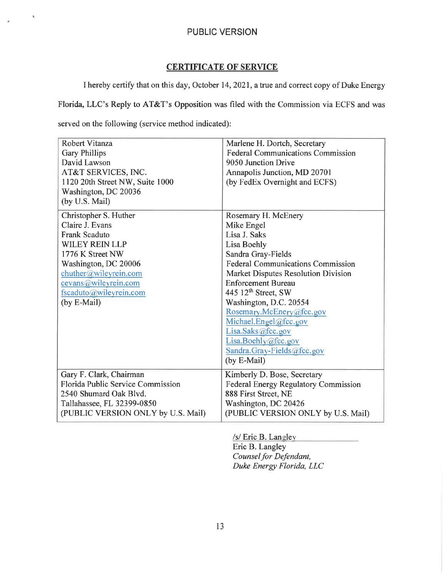## **CERTIFICATE OF SERVICE**

I hereby certify that on this day, October 14, 2021, a true and correct copy of Duke Energy

Florida, LLC's Reply to AT&T's Opposition was filed with the Commission via ECFS and was

served on the following (service method indicated):

 $\mathbf{t}$ 

| Robert Vitanza<br><b>Gary Phillips</b><br>David Lawson<br>AT&T SERVICES, INC.<br>1120 20th Street NW, Suite 1000<br>Washington, DC 20036<br>(by U.S. Mail)                                                                      | Marlene H. Dortch, Secretary<br><b>Federal Communications Commission</b><br>9050 Junction Drive<br>Annapolis Junction, MD 20701<br>(by FedEx Overnight and ECFS)                                                                                                                                                                                                                                        |
|---------------------------------------------------------------------------------------------------------------------------------------------------------------------------------------------------------------------------------|---------------------------------------------------------------------------------------------------------------------------------------------------------------------------------------------------------------------------------------------------------------------------------------------------------------------------------------------------------------------------------------------------------|
| Christopher S. Huther<br>Claire J. Evans<br><b>Frank Scaduto</b><br><b>WILEY REIN LLP</b><br>1776 K Street NW<br>Washington, DC 20006<br>chuther@wileyrein.com<br>cevans@wileyrein.com<br>fscaduto@wileyrein.com<br>(by E-Mail) | Rosemary H. McEnery<br>Mike Engel<br>Lisa J. Saks<br>Lisa Boehly<br>Sandra Gray-Fields<br><b>Federal Communications Commission</b><br>Market Disputes Resolution Division<br><b>Enforcement Bureau</b><br>445 $12th$ Street, SW<br>Washington, D.C. 20554<br>Rosemary.McEnery@fcc.gov<br>Michael.Engel@fcc.gov<br>Lisa.Saks@fcc.gov<br>Lisa.Boehly@fcc.gov<br>Sandra.Gray-Fields@fcc.gov<br>(by E-Mail) |
| Gary F. Clark, Chairman<br>Florida Public Service Commission<br>2540 Shumard Oak Blvd.<br>Tallahassee, FL 32399-0850<br>(PUBLIC VERSION ONLY by U.S. Mail)                                                                      | Kimberly D. Bose, Secretary<br><b>Federal Energy Regulatory Commission</b><br>888 First Street, NE<br>Washington, DC 20426<br>(PUBLIC VERSION ONLY by U.S. Mail)                                                                                                                                                                                                                                        |

*Isl* Eric B. Langley Eric B. Langley *Counsel for Defendant, Duke Energy Florida, LLC*